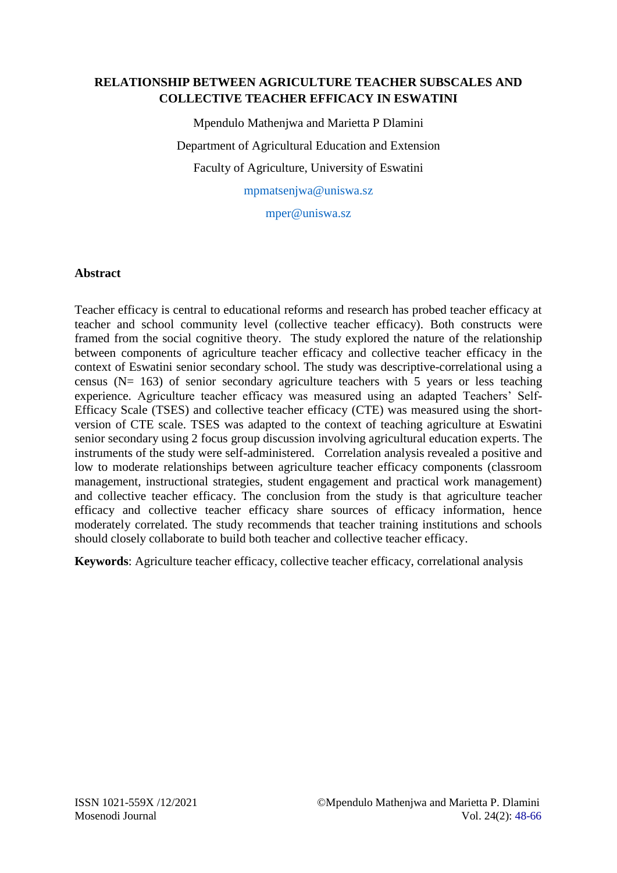# **RELATIONSHIP BETWEEN AGRICULTURE TEACHER SUBSCALES AND COLLECTIVE TEACHER EFFICACY IN ESWATINI**

Mpendulo Mathenjwa and Marietta P Dlamini Department of Agricultural Education and Extension Faculty of Agriculture, University of Eswatini [mpmatsenjwa@uniswa.sz](mailto:mpmatsenjwa@uniswa.sz)

mper@uniswa.sz

### **Abstract**

Teacher efficacy is central to educational reforms and research has probed teacher efficacy at teacher and school community level (collective teacher efficacy). Both constructs were framed from the social cognitive theory. The study explored the nature of the relationship between components of agriculture teacher efficacy and collective teacher efficacy in the context of Eswatini senior secondary school. The study was descriptive-correlational using a census ( $N = 163$ ) of senior secondary agriculture teachers with 5 years or less teaching experience. Agriculture teacher efficacy was measured using an adapted Teachers' Self-Efficacy Scale (TSES) and collective teacher efficacy (CTE) was measured using the shortversion of CTE scale. TSES was adapted to the context of teaching agriculture at Eswatini senior secondary using 2 focus group discussion involving agricultural education experts. The instruments of the study were self-administered. Correlation analysis revealed a positive and low to moderate relationships between agriculture teacher efficacy components (classroom management, instructional strategies, student engagement and practical work management) and collective teacher efficacy. The conclusion from the study is that agriculture teacher efficacy and collective teacher efficacy share sources of efficacy information, hence moderately correlated. The study recommends that teacher training institutions and schools should closely collaborate to build both teacher and collective teacher efficacy.

**Keywords**: Agriculture teacher efficacy, collective teacher efficacy, correlational analysis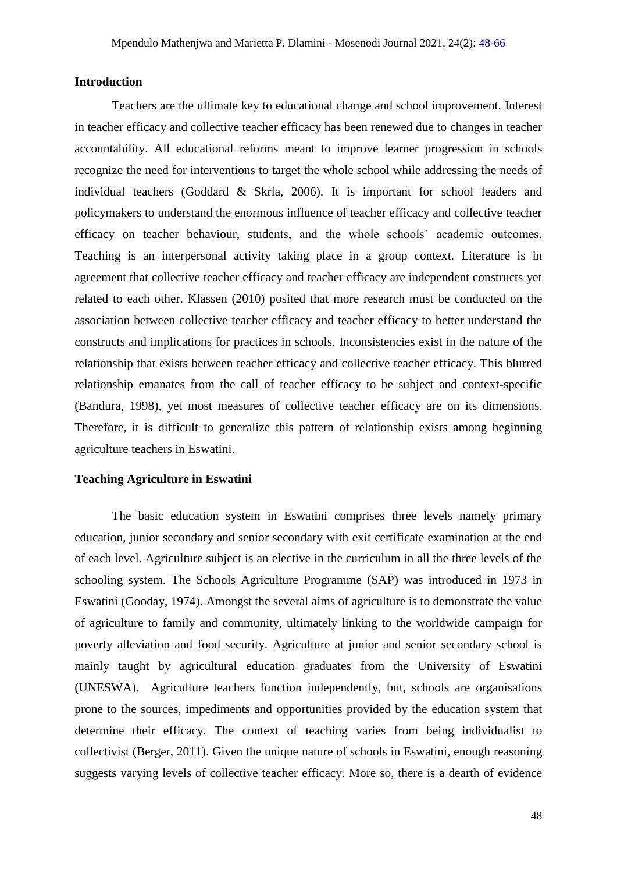#### **Introduction**

Teachers are the ultimate key to educational change and school improvement. Interest in teacher efficacy and collective teacher efficacy has been renewed due to changes in teacher accountability. All educational reforms meant to improve learner progression in schools recognize the need for interventions to target the whole school while addressing the needs of individual teachers (Goddard & Skrla, 2006). It is important for school leaders and policymakers to understand the enormous influence of teacher efficacy and collective teacher efficacy on teacher behaviour, students, and the whole schools' academic outcomes. Teaching is an interpersonal activity taking place in a group context. Literature is in agreement that collective teacher efficacy and teacher efficacy are independent constructs yet related to each other. Klassen (2010) posited that more research must be conducted on the association between collective teacher efficacy and teacher efficacy to better understand the constructs and implications for practices in schools. Inconsistencies exist in the nature of the relationship that exists between teacher efficacy and collective teacher efficacy. This blurred relationship emanates from the call of teacher efficacy to be subject and context-specific (Bandura, 1998), yet most measures of collective teacher efficacy are on its dimensions. Therefore, it is difficult to generalize this pattern of relationship exists among beginning agriculture teachers in Eswatini.

### **Teaching Agriculture in Eswatini**

The basic education system in Eswatini comprises three levels namely primary education, junior secondary and senior secondary with exit certificate examination at the end of each level. Agriculture subject is an elective in the curriculum in all the three levels of the schooling system. The Schools Agriculture Programme (SAP) was introduced in 1973 in Eswatini (Gooday, 1974). Amongst the several aims of agriculture is to demonstrate the value of agriculture to family and community, ultimately linking to the worldwide campaign for poverty alleviation and food security. Agriculture at junior and senior secondary school is mainly taught by agricultural education graduates from the University of Eswatini (UNESWA). Agriculture teachers function independently, but, schools are organisations prone to the sources, impediments and opportunities provided by the education system that determine their efficacy. The context of teaching varies from being individualist to collectivist (Berger, 2011). Given the unique nature of schools in Eswatini, enough reasoning suggests varying levels of collective teacher efficacy. More so, there is a dearth of evidence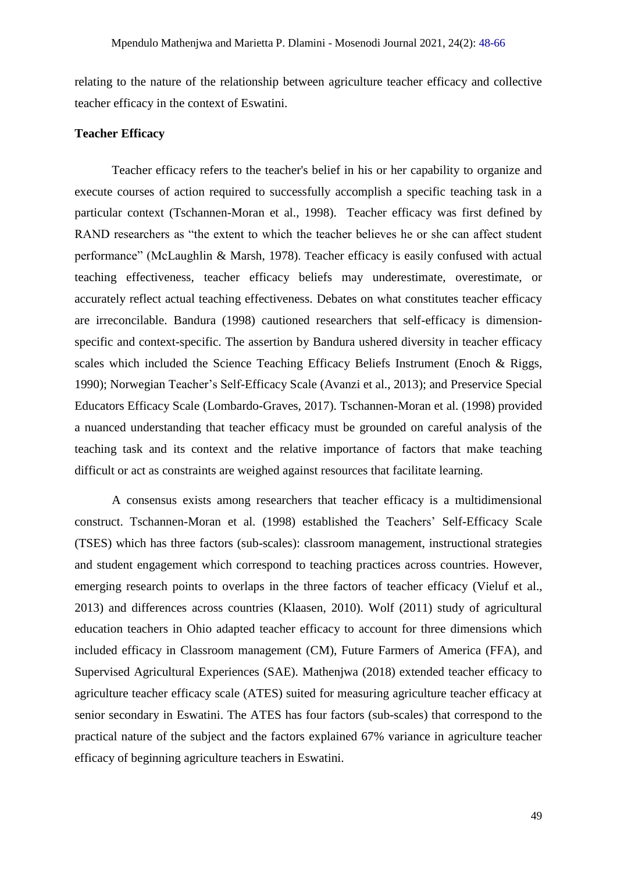relating to the nature of the relationship between agriculture teacher efficacy and collective teacher efficacy in the context of Eswatini.

### **Teacher Efficacy**

Teacher efficacy refers to the teacher's belief in his or her capability to organize and execute courses of action required to successfully accomplish a specific teaching task in a particular context (Tschannen-Moran et al., 1998). Teacher efficacy was first defined by RAND researchers as "the extent to which the teacher believes he or she can affect student performance" (McLaughlin & Marsh, 1978). Teacher efficacy is easily confused with actual teaching effectiveness, teacher efficacy beliefs may underestimate, overestimate, or accurately reflect actual teaching effectiveness. Debates on what constitutes teacher efficacy are irreconcilable. Bandura (1998) cautioned researchers that self-efficacy is dimensionspecific and context-specific. The assertion by Bandura ushered diversity in teacher efficacy scales which included the Science Teaching Efficacy Beliefs Instrument (Enoch & Riggs, 1990); Norwegian Teacher's Self-Efficacy Scale (Avanzi et al., 2013); and Preservice Special Educators Efficacy Scale (Lombardo-Graves, 2017). Tschannen-Moran et al. (1998) provided a nuanced understanding that teacher efficacy must be grounded on careful analysis of the teaching task and its context and the relative importance of factors that make teaching difficult or act as constraints are weighed against resources that facilitate learning.

A consensus exists among researchers that teacher efficacy is a multidimensional construct. Tschannen-Moran et al. (1998) established the Teachers' Self-Efficacy Scale (TSES) which has three factors (sub-scales): classroom management, instructional strategies and student engagement which correspond to teaching practices across countries. However, emerging research points to overlaps in the three factors of teacher efficacy (Vieluf et al., 2013) and differences across countries (Klaasen, 2010). Wolf (2011) study of agricultural education teachers in Ohio adapted teacher efficacy to account for three dimensions which included efficacy in Classroom management (CM), Future Farmers of America (FFA), and Supervised Agricultural Experiences (SAE). Mathenjwa (2018) extended teacher efficacy to agriculture teacher efficacy scale (ATES) suited for measuring agriculture teacher efficacy at senior secondary in Eswatini. The ATES has four factors (sub-scales) that correspond to the practical nature of the subject and the factors explained 67% variance in agriculture teacher efficacy of beginning agriculture teachers in Eswatini.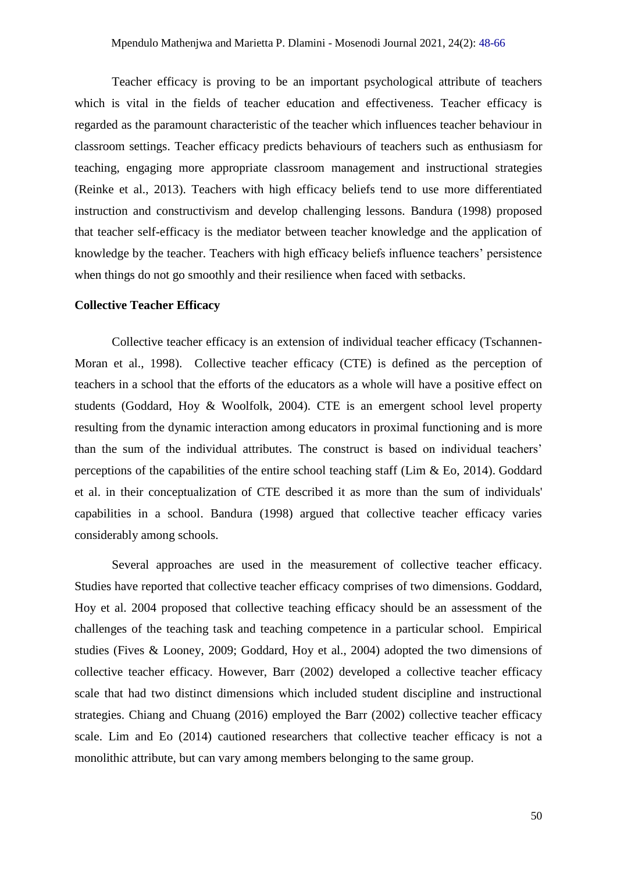Teacher efficacy is proving to be an important psychological attribute of teachers which is vital in the fields of teacher education and effectiveness. Teacher efficacy is regarded as the paramount characteristic of the teacher which influences teacher behaviour in classroom settings. Teacher efficacy predicts behaviours of teachers such as enthusiasm for teaching, engaging more appropriate classroom management and instructional strategies (Reinke et al., 2013). Teachers with high efficacy beliefs tend to use more differentiated instruction and constructivism and develop challenging lessons. Bandura (1998) proposed that teacher self-efficacy is the mediator between teacher knowledge and the application of knowledge by the teacher. Teachers with high efficacy beliefs influence teachers' persistence when things do not go smoothly and their resilience when faced with setbacks.

#### **Collective Teacher Efficacy**

Collective teacher efficacy is an extension of individual teacher efficacy (Tschannen-Moran et al., 1998). Collective teacher efficacy (CTE) is defined as the perception of teachers in a school that the efforts of the educators as a whole will have a positive effect on students (Goddard, Hoy & Woolfolk, 2004). CTE is an emergent school level property resulting from the dynamic interaction among educators in proximal functioning and is more than the sum of the individual attributes. The construct is based on individual teachers' perceptions of the capabilities of the entire school teaching staff (Lim & Eo, 2014). Goddard et al. in their conceptualization of CTE described it as more than the sum of individuals' capabilities in a school. Bandura (1998) argued that collective teacher efficacy varies considerably among schools.

Several approaches are used in the measurement of collective teacher efficacy. Studies have reported that collective teacher efficacy comprises of two dimensions. Goddard, Hoy et al. 2004 proposed that collective teaching efficacy should be an assessment of the challenges of the teaching task and teaching competence in a particular school. Empirical studies (Fives & Looney, 2009; Goddard, Hoy et al., 2004) adopted the two dimensions of collective teacher efficacy. However, Barr (2002) developed a collective teacher efficacy scale that had two distinct dimensions which included student discipline and instructional strategies. Chiang and Chuang (2016) employed the Barr (2002) collective teacher efficacy scale. Lim and Eo (2014) cautioned researchers that collective teacher efficacy is not a monolithic attribute, but can vary among members belonging to the same group.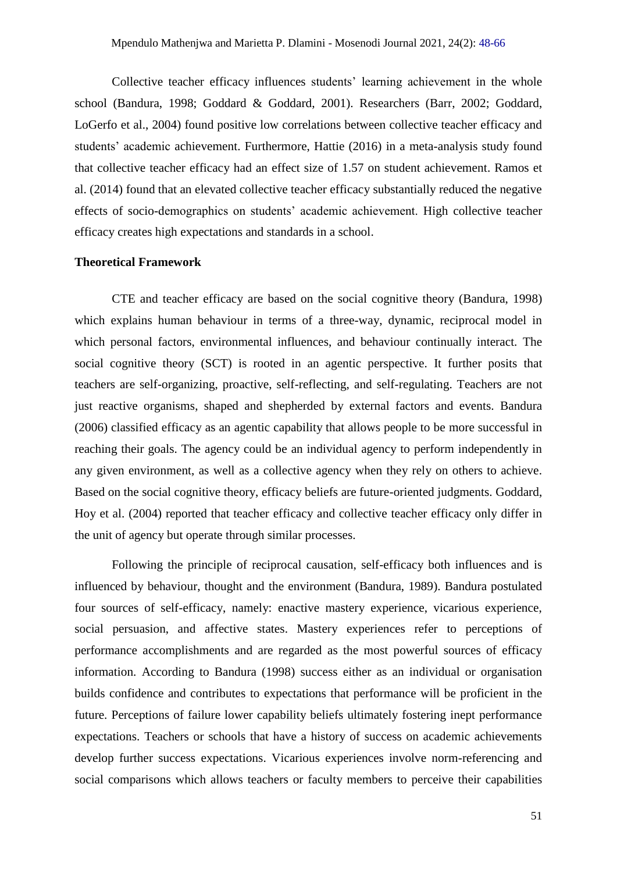Collective teacher efficacy influences students' learning achievement in the whole school (Bandura, 1998; Goddard & Goddard, 2001). Researchers (Barr, 2002; Goddard, LoGerfo et al., 2004) found positive low correlations between collective teacher efficacy and students' academic achievement. Furthermore, Hattie (2016) in a meta-analysis study found that collective teacher efficacy had an effect size of 1.57 on student achievement. Ramos et al. (2014) found that an elevated collective teacher efficacy substantially reduced the negative effects of socio-demographics on students' academic achievement. High collective teacher efficacy creates high expectations and standards in a school.

### **Theoretical Framework**

CTE and teacher efficacy are based on the social cognitive theory (Bandura, 1998) which explains human behaviour in terms of a three-way, dynamic, reciprocal model in which personal factors, environmental influences, and behaviour continually interact. The social cognitive theory (SCT) is rooted in an agentic perspective. It further posits that teachers are self-organizing, proactive, self-reflecting, and self-regulating. Teachers are not just reactive organisms, shaped and shepherded by external factors and events. Bandura (2006) classified efficacy as an agentic capability that allows people to be more successful in reaching their goals. The agency could be an individual agency to perform independently in any given environment, as well as a collective agency when they rely on others to achieve. Based on the social cognitive theory, efficacy beliefs are future-oriented judgments. Goddard, Hoy et al. (2004) reported that teacher efficacy and collective teacher efficacy only differ in the unit of agency but operate through similar processes.

Following the principle of reciprocal causation, self-efficacy both influences and is influenced by behaviour, thought and the environment (Bandura, 1989). Bandura postulated four sources of self-efficacy, namely: enactive mastery experience, vicarious experience, social persuasion, and affective states. Mastery experiences refer to perceptions of performance accomplishments and are regarded as the most powerful sources of efficacy information. According to Bandura (1998) success either as an individual or organisation builds confidence and contributes to expectations that performance will be proficient in the future. Perceptions of failure lower capability beliefs ultimately fostering inept performance expectations. Teachers or schools that have a history of success on academic achievements develop further success expectations. Vicarious experiences involve norm-referencing and social comparisons which allows teachers or faculty members to perceive their capabilities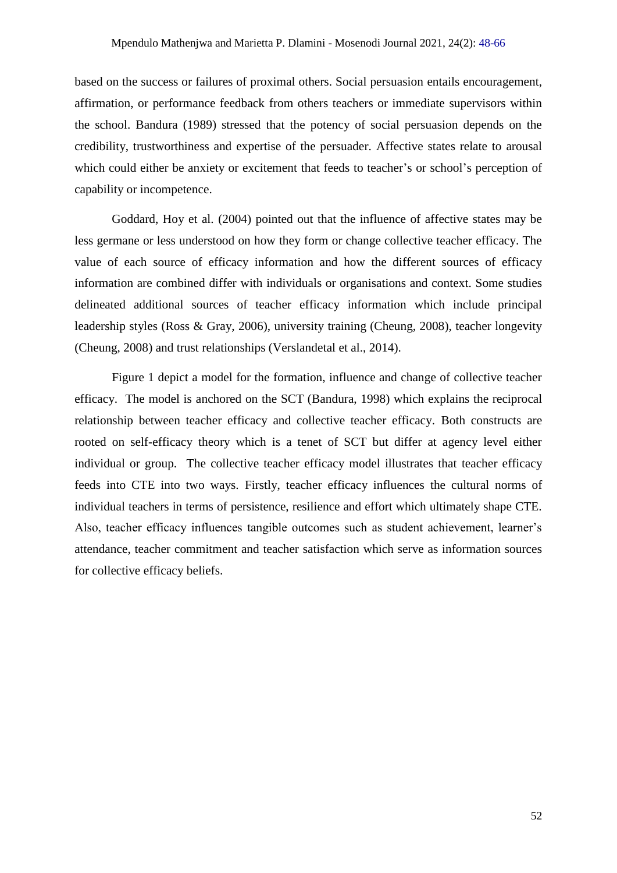based on the success or failures of proximal others. Social persuasion entails encouragement, affirmation, or performance feedback from others teachers or immediate supervisors within the school. Bandura (1989) stressed that the potency of social persuasion depends on the credibility, trustworthiness and expertise of the persuader. Affective states relate to arousal which could either be anxiety or excitement that feeds to teacher's or school's perception of capability or incompetence.

Goddard, Hoy et al. (2004) pointed out that the influence of affective states may be less germane or less understood on how they form or change collective teacher efficacy. The value of each source of efficacy information and how the different sources of efficacy information are combined differ with individuals or organisations and context. Some studies delineated additional sources of teacher efficacy information which include principal leadership styles (Ross & Gray, 2006), university training (Cheung, 2008), teacher longevity (Cheung, 2008) and trust relationships (Verslandetal et al., 2014).

Figure 1 depict a model for the formation, influence and change of collective teacher efficacy. The model is anchored on the SCT (Bandura, 1998) which explains the reciprocal relationship between teacher efficacy and collective teacher efficacy. Both constructs are rooted on self-efficacy theory which is a tenet of SCT but differ at agency level either individual or group. The collective teacher efficacy model illustrates that teacher efficacy feeds into CTE into two ways. Firstly, teacher efficacy influences the cultural norms of individual teachers in terms of persistence, resilience and effort which ultimately shape CTE. Also, teacher efficacy influences tangible outcomes such as student achievement, learner's attendance, teacher commitment and teacher satisfaction which serve as information sources for collective efficacy beliefs.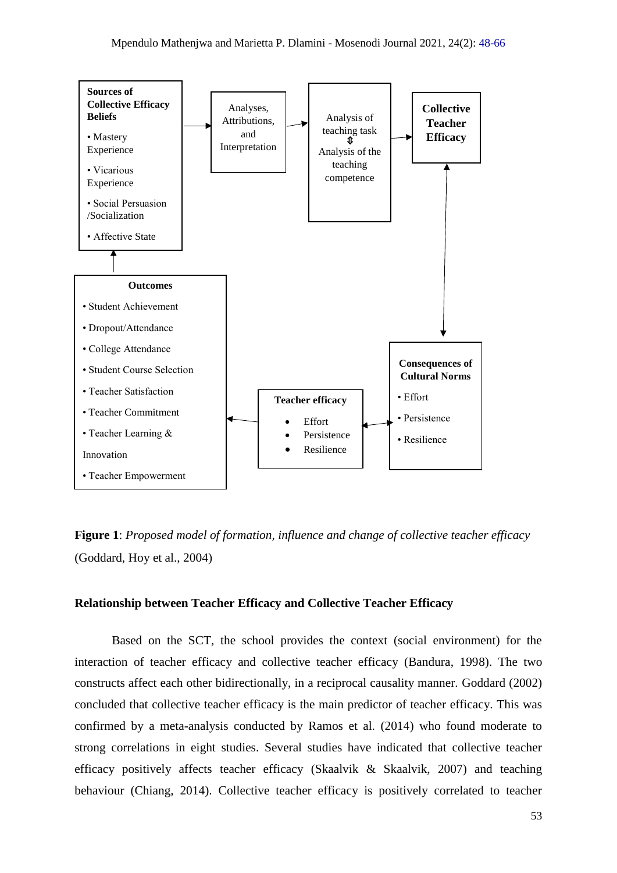

**Figure 1**: *Proposed model of formation, influence and change of collective teacher efficacy* (Goddard, Hoy et al., 2004)

### **Relationship between Teacher Efficacy and Collective Teacher Efficacy**

Based on the SCT, the school provides the context (social environment) for the interaction of teacher efficacy and collective teacher efficacy (Bandura, 1998). The two constructs affect each other bidirectionally, in a reciprocal causality manner. Goddard (2002) concluded that collective teacher efficacy is the main predictor of teacher efficacy. This was confirmed by a meta-analysis conducted by Ramos et al. (2014) who found moderate to strong correlations in eight studies. Several studies have indicated that collective teacher efficacy positively affects teacher efficacy (Skaalvik & Skaalvik, 2007) and teaching behaviour (Chiang, 2014). Collective teacher efficacy is positively correlated to teacher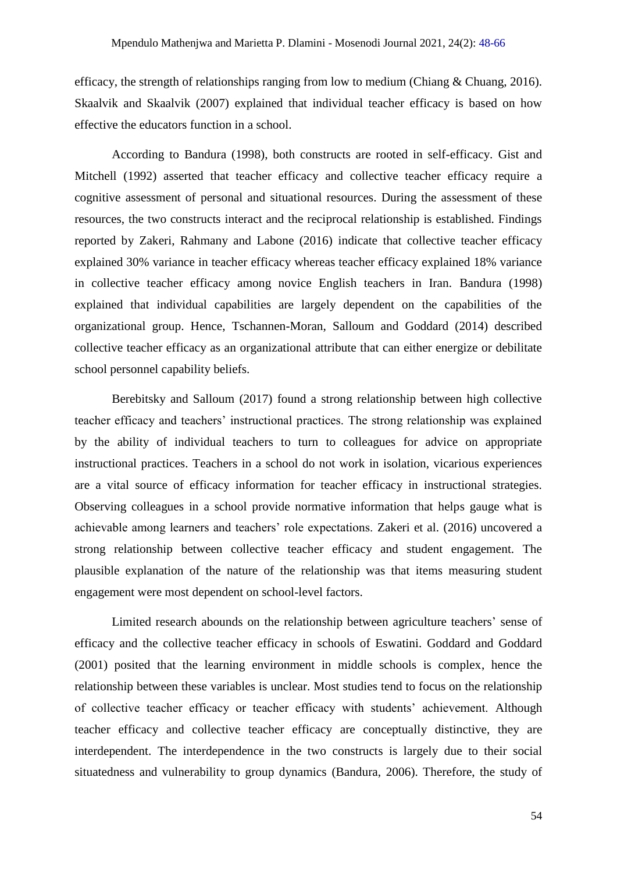efficacy, the strength of relationships ranging from low to medium (Chiang & Chuang, 2016). Skaalvik and Skaalvik (2007) explained that individual teacher efficacy is based on how effective the educators function in a school.

According to Bandura (1998), both constructs are rooted in self-efficacy. Gist and Mitchell (1992) asserted that teacher efficacy and collective teacher efficacy require a cognitive assessment of personal and situational resources. During the assessment of these resources, the two constructs interact and the reciprocal relationship is established. Findings reported by Zakeri, Rahmany and Labone (2016) indicate that collective teacher efficacy explained 30% variance in teacher efficacy whereas teacher efficacy explained 18% variance in collective teacher efficacy among novice English teachers in Iran. Bandura (1998) explained that individual capabilities are largely dependent on the capabilities of the organizational group. Hence, Tschannen-Moran, Salloum and Goddard (2014) described collective teacher efficacy as an organizational attribute that can either energize or debilitate school personnel capability beliefs.

Berebitsky and Salloum (2017) found a strong relationship between high collective teacher efficacy and teachers' instructional practices. The strong relationship was explained by the ability of individual teachers to turn to colleagues for advice on appropriate instructional practices. Teachers in a school do not work in isolation, vicarious experiences are a vital source of efficacy information for teacher efficacy in instructional strategies. Observing colleagues in a school provide normative information that helps gauge what is achievable among learners and teachers' role expectations. Zakeri et al. (2016) uncovered a strong relationship between collective teacher efficacy and student engagement. The plausible explanation of the nature of the relationship was that items measuring student engagement were most dependent on school-level factors.

Limited research abounds on the relationship between agriculture teachers' sense of efficacy and the collective teacher efficacy in schools of Eswatini. Goddard and Goddard (2001) posited that the learning environment in middle schools is complex, hence the relationship between these variables is unclear. Most studies tend to focus on the relationship of collective teacher efficacy or teacher efficacy with students' achievement. Although teacher efficacy and collective teacher efficacy are conceptually distinctive, they are interdependent. The interdependence in the two constructs is largely due to their social situatedness and vulnerability to group dynamics (Bandura, 2006). Therefore, the study of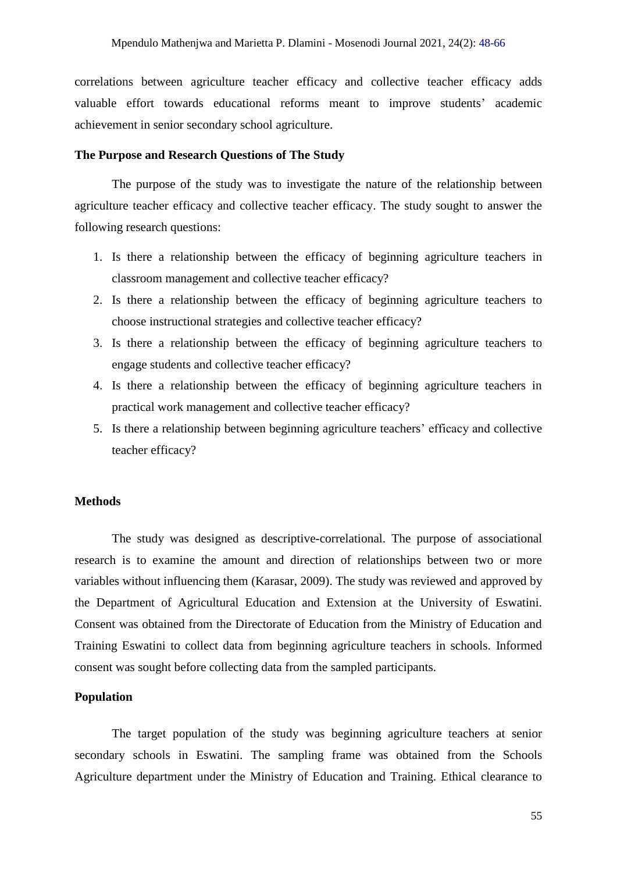correlations between agriculture teacher efficacy and collective teacher efficacy adds valuable effort towards educational reforms meant to improve students' academic achievement in senior secondary school agriculture.

### **The Purpose and Research Questions of The Study**

The purpose of the study was to investigate the nature of the relationship between agriculture teacher efficacy and collective teacher efficacy. The study sought to answer the following research questions:

- 1. Is there a relationship between the efficacy of beginning agriculture teachers in classroom management and collective teacher efficacy?
- 2. Is there a relationship between the efficacy of beginning agriculture teachers to choose instructional strategies and collective teacher efficacy?
- 3. Is there a relationship between the efficacy of beginning agriculture teachers to engage students and collective teacher efficacy?
- 4. Is there a relationship between the efficacy of beginning agriculture teachers in practical work management and collective teacher efficacy?
- 5. Is there a relationship between beginning agriculture teachers' efficacy and collective teacher efficacy?

### **Methods**

The study was designed as descriptive-correlational. The purpose of associational research is to examine the amount and direction of relationships between two or more variables without influencing them (Karasar, 2009). The study was reviewed and approved by the Department of Agricultural Education and Extension at the University of Eswatini. Consent was obtained from the Directorate of Education from the Ministry of Education and Training Eswatini to collect data from beginning agriculture teachers in schools. Informed consent was sought before collecting data from the sampled participants.

# **Population**

The target population of the study was beginning agriculture teachers at senior secondary schools in Eswatini. The sampling frame was obtained from the Schools Agriculture department under the Ministry of Education and Training. Ethical clearance to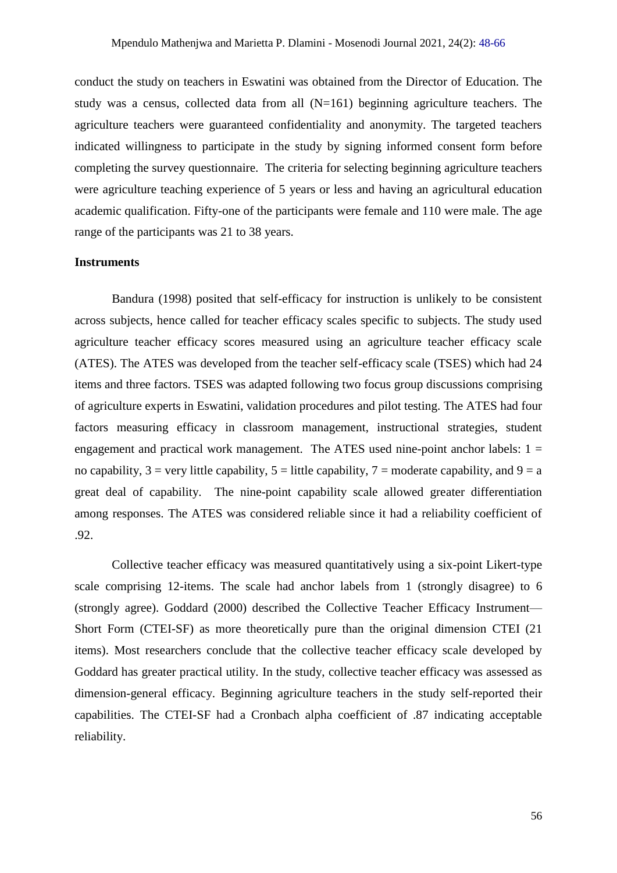conduct the study on teachers in Eswatini was obtained from the Director of Education. The study was a census, collected data from all  $(N=161)$  beginning agriculture teachers. The agriculture teachers were guaranteed confidentiality and anonymity. The targeted teachers indicated willingness to participate in the study by signing informed consent form before completing the survey questionnaire. The criteria for selecting beginning agriculture teachers were agriculture teaching experience of 5 years or less and having an agricultural education academic qualification. Fifty-one of the participants were female and 110 were male. The age range of the participants was 21 to 38 years.

#### **Instruments**

Bandura (1998) posited that self-efficacy for instruction is unlikely to be consistent across subjects, hence called for teacher efficacy scales specific to subjects. The study used agriculture teacher efficacy scores measured using an agriculture teacher efficacy scale (ATES). The ATES was developed from the teacher self-efficacy scale (TSES) which had 24 items and three factors. TSES was adapted following two focus group discussions comprising of agriculture experts in Eswatini, validation procedures and pilot testing. The ATES had four factors measuring efficacy in classroom management, instructional strategies, student engagement and practical work management. The ATES used nine-point anchor labels:  $1 =$ no capability,  $3 = \text{very little capability}, 5 = \text{little capability}, 7 = \text{moderate capability},$  and  $9 = a$ great deal of capability. The nine-point capability scale allowed greater differentiation among responses. The ATES was considered reliable since it had a reliability coefficient of .92.

Collective teacher efficacy was measured quantitatively using a six-point Likert-type scale comprising 12-items. The scale had anchor labels from 1 (strongly disagree) to 6 (strongly agree). Goddard (2000) described the Collective Teacher Efficacy Instrument— Short Form (CTEI-SF) as more theoretically pure than the original dimension CTEI (21 items). Most researchers conclude that the collective teacher efficacy scale developed by Goddard has greater practical utility. In the study, collective teacher efficacy was assessed as dimension-general efficacy. Beginning agriculture teachers in the study self-reported their capabilities. The CTEI-SF had a Cronbach alpha coefficient of .87 indicating acceptable reliability.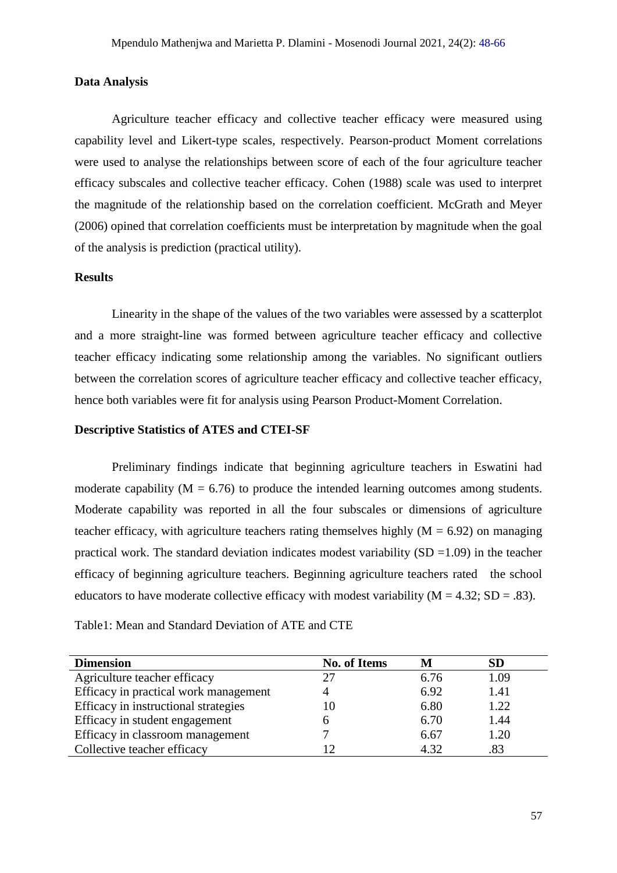### **Data Analysis**

Agriculture teacher efficacy and collective teacher efficacy were measured using capability level and Likert-type scales, respectively. Pearson-product Moment correlations were used to analyse the relationships between score of each of the four agriculture teacher efficacy subscales and collective teacher efficacy. Cohen (1988) scale was used to interpret the magnitude of the relationship based on the correlation coefficient. McGrath and Meyer (2006) opined that correlation coefficients must be interpretation by magnitude when the goal of the analysis is prediction (practical utility).

#### **Results**

Linearity in the shape of the values of the two variables were assessed by a scatterplot and a more straight-line was formed between agriculture teacher efficacy and collective teacher efficacy indicating some relationship among the variables. No significant outliers between the correlation scores of agriculture teacher efficacy and collective teacher efficacy, hence both variables were fit for analysis using Pearson Product-Moment Correlation.

### **Descriptive Statistics of ATES and CTEI-SF**

Preliminary findings indicate that beginning agriculture teachers in Eswatini had moderate capability  $(M = 6.76)$  to produce the intended learning outcomes among students. Moderate capability was reported in all the four subscales or dimensions of agriculture teacher efficacy, with agriculture teachers rating themselves highly  $(M = 6.92)$  on managing practical work. The standard deviation indicates modest variability  $(SD = 1.09)$  in the teacher efficacy of beginning agriculture teachers. Beginning agriculture teachers rated the school educators to have moderate collective efficacy with modest variability  $(M = 4.32; SD = .83)$ .

| <b>Dimension</b>                      | <b>No. of Items</b> | M    | SD   |
|---------------------------------------|---------------------|------|------|
| Agriculture teacher efficacy          | 27                  | 6.76 | 1.09 |
| Efficacy in practical work management |                     | 6.92 | 1.41 |
| Efficacy in instructional strategies  | 10                  | 6.80 | 1.22 |
| Efficacy in student engagement        |                     | 6.70 | 1.44 |
| Efficacy in classroom management      |                     | 6.67 | 1.20 |
| Collective teacher efficacy           |                     | 4.32 | .83  |

Table1: Mean and Standard Deviation of ATE and CTE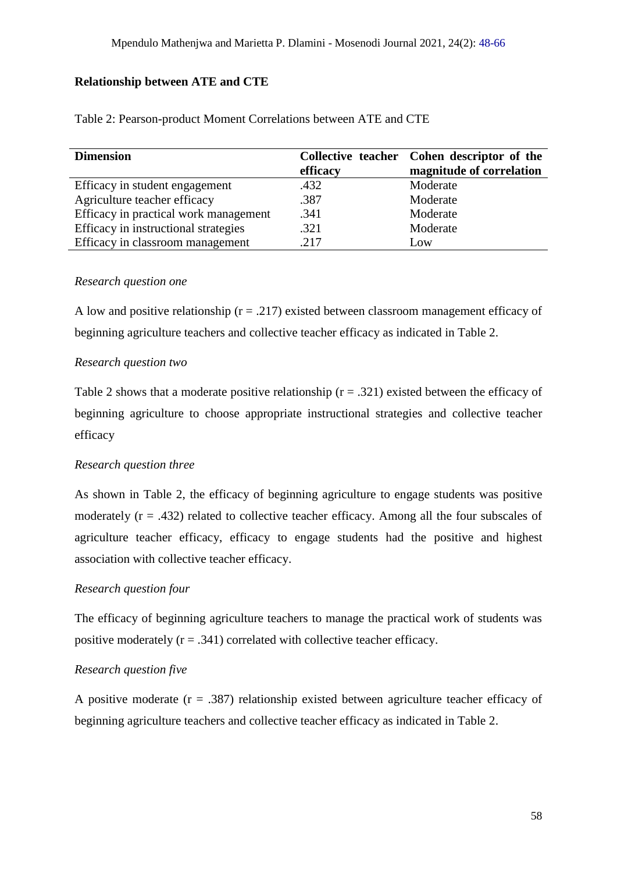# **Relationship between ATE and CTE**

| <b>Dimension</b>                      | efficacy | Collective teacher Cohen descriptor of the<br>magnitude of correlation |
|---------------------------------------|----------|------------------------------------------------------------------------|
| Efficacy in student engagement        | .432     | Moderate                                                               |
| Agriculture teacher efficacy          | .387     | Moderate                                                               |
| Efficacy in practical work management | .341     | Moderate                                                               |
| Efficacy in instructional strategies  | .321     | Moderate                                                               |
| Efficacy in classroom management      | .217     | Low                                                                    |

Table 2: Pearson-product Moment Correlations between ATE and CTE

### *Research question one*

A low and positive relationship ( $r = .217$ ) existed between classroom management efficacy of beginning agriculture teachers and collective teacher efficacy as indicated in Table 2.

### *Research question two*

Table 2 shows that a moderate positive relationship  $(r = .321)$  existed between the efficacy of beginning agriculture to choose appropriate instructional strategies and collective teacher efficacy

### *Research question three*

As shown in Table 2, the efficacy of beginning agriculture to engage students was positive moderately  $(r = .432)$  related to collective teacher efficacy. Among all the four subscales of agriculture teacher efficacy, efficacy to engage students had the positive and highest association with collective teacher efficacy.

### *Research question four*

The efficacy of beginning agriculture teachers to manage the practical work of students was positive moderately  $(r = .341)$  correlated with collective teacher efficacy.

### *Research question five*

A positive moderate ( $r = .387$ ) relationship existed between agriculture teacher efficacy of beginning agriculture teachers and collective teacher efficacy as indicated in Table 2.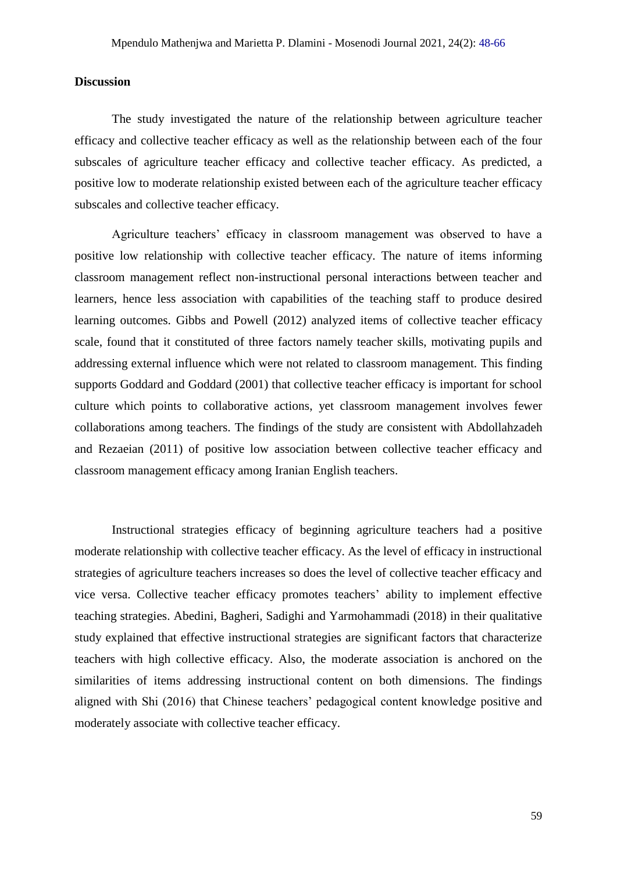#### **Discussion**

The study investigated the nature of the relationship between agriculture teacher efficacy and collective teacher efficacy as well as the relationship between each of the four subscales of agriculture teacher efficacy and collective teacher efficacy. As predicted, a positive low to moderate relationship existed between each of the agriculture teacher efficacy subscales and collective teacher efficacy.

Agriculture teachers' efficacy in classroom management was observed to have a positive low relationship with collective teacher efficacy. The nature of items informing classroom management reflect non-instructional personal interactions between teacher and learners, hence less association with capabilities of the teaching staff to produce desired learning outcomes. Gibbs and Powell (2012) analyzed items of collective teacher efficacy scale, found that it constituted of three factors namely teacher skills, motivating pupils and addressing external influence which were not related to classroom management. This finding supports Goddard and Goddard (2001) that collective teacher efficacy is important for school culture which points to collaborative actions, yet classroom management involves fewer collaborations among teachers. The findings of the study are consistent with Abdollahzadeh and Rezaeian (2011) of positive low association between collective teacher efficacy and classroom management efficacy among Iranian English teachers.

Instructional strategies efficacy of beginning agriculture teachers had a positive moderate relationship with collective teacher efficacy. As the level of efficacy in instructional strategies of agriculture teachers increases so does the level of collective teacher efficacy and vice versa. Collective teacher efficacy promotes teachers' ability to implement effective teaching strategies. Abedini, Bagheri, Sadighi and Yarmohammadi (2018) in their qualitative study explained that effective instructional strategies are significant factors that characterize teachers with high collective efficacy. Also, the moderate association is anchored on the similarities of items addressing instructional content on both dimensions. The findings aligned with Shi (2016) that Chinese teachers' pedagogical content knowledge positive and moderately associate with collective teacher efficacy.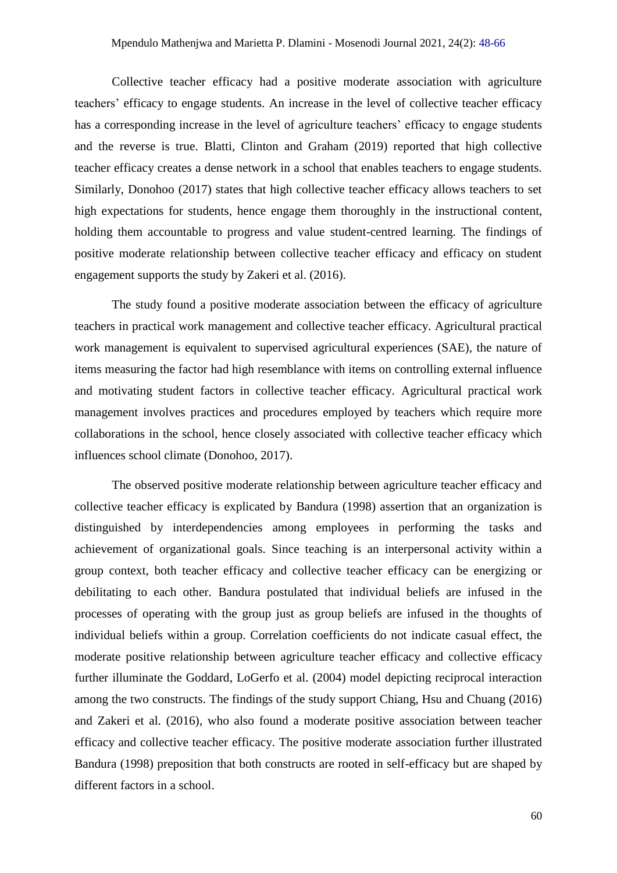Collective teacher efficacy had a positive moderate association with agriculture teachers' efficacy to engage students. An increase in the level of collective teacher efficacy has a corresponding increase in the level of agriculture teachers' efficacy to engage students and the reverse is true. Blatti, Clinton and Graham (2019) reported that high collective teacher efficacy creates a dense network in a school that enables teachers to engage students. Similarly, Donohoo (2017) states that high collective teacher efficacy allows teachers to set high expectations for students, hence engage them thoroughly in the instructional content, holding them accountable to progress and value student-centred learning. The findings of positive moderate relationship between collective teacher efficacy and efficacy on student engagement supports the study by Zakeri et al. (2016).

The study found a positive moderate association between the efficacy of agriculture teachers in practical work management and collective teacher efficacy. Agricultural practical work management is equivalent to supervised agricultural experiences (SAE), the nature of items measuring the factor had high resemblance with items on controlling external influence and motivating student factors in collective teacher efficacy. Agricultural practical work management involves practices and procedures employed by teachers which require more collaborations in the school, hence closely associated with collective teacher efficacy which influences school climate (Donohoo, 2017).

The observed positive moderate relationship between agriculture teacher efficacy and collective teacher efficacy is explicated by Bandura (1998) assertion that an organization is distinguished by interdependencies among employees in performing the tasks and achievement of organizational goals. Since teaching is an interpersonal activity within a group context, both teacher efficacy and collective teacher efficacy can be energizing or debilitating to each other. Bandura postulated that individual beliefs are infused in the processes of operating with the group just as group beliefs are infused in the thoughts of individual beliefs within a group. Correlation coefficients do not indicate casual effect, the moderate positive relationship between agriculture teacher efficacy and collective efficacy further illuminate the Goddard, LoGerfo et al. (2004) model depicting reciprocal interaction among the two constructs. The findings of the study support Chiang, Hsu and Chuang (2016) and Zakeri et al. (2016), who also found a moderate positive association between teacher efficacy and collective teacher efficacy. The positive moderate association further illustrated Bandura (1998) preposition that both constructs are rooted in self-efficacy but are shaped by different factors in a school.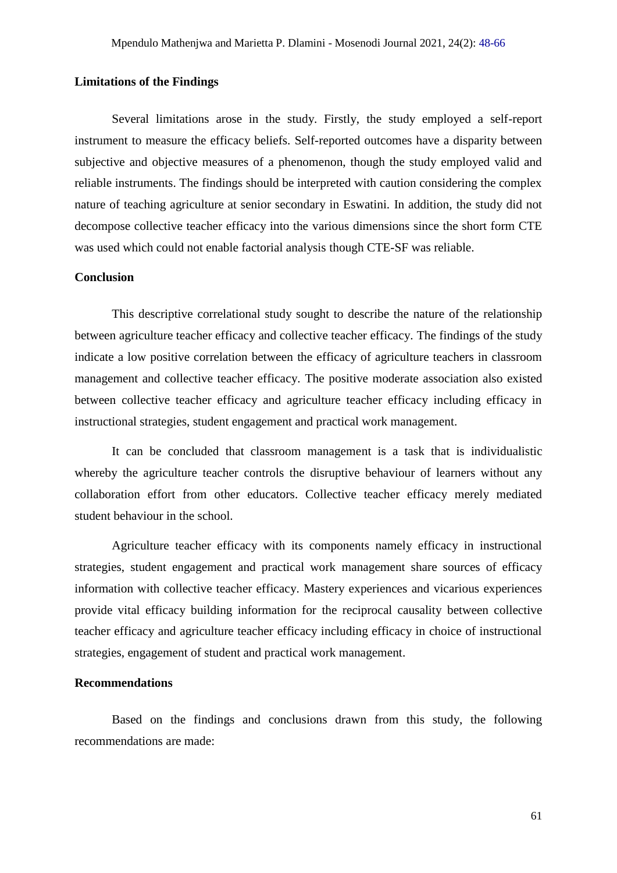#### **Limitations of the Findings**

Several limitations arose in the study. Firstly, the study employed a self-report instrument to measure the efficacy beliefs. Self-reported outcomes have a disparity between subjective and objective measures of a phenomenon, though the study employed valid and reliable instruments. The findings should be interpreted with caution considering the complex nature of teaching agriculture at senior secondary in Eswatini. In addition, the study did not decompose collective teacher efficacy into the various dimensions since the short form CTE was used which could not enable factorial analysis though CTE-SF was reliable.

#### **Conclusion**

This descriptive correlational study sought to describe the nature of the relationship between agriculture teacher efficacy and collective teacher efficacy. The findings of the study indicate a low positive correlation between the efficacy of agriculture teachers in classroom management and collective teacher efficacy. The positive moderate association also existed between collective teacher efficacy and agriculture teacher efficacy including efficacy in instructional strategies, student engagement and practical work management.

It can be concluded that classroom management is a task that is individualistic whereby the agriculture teacher controls the disruptive behaviour of learners without any collaboration effort from other educators. Collective teacher efficacy merely mediated student behaviour in the school.

Agriculture teacher efficacy with its components namely efficacy in instructional strategies, student engagement and practical work management share sources of efficacy information with collective teacher efficacy. Mastery experiences and vicarious experiences provide vital efficacy building information for the reciprocal causality between collective teacher efficacy and agriculture teacher efficacy including efficacy in choice of instructional strategies, engagement of student and practical work management.

#### **Recommendations**

Based on the findings and conclusions drawn from this study, the following recommendations are made: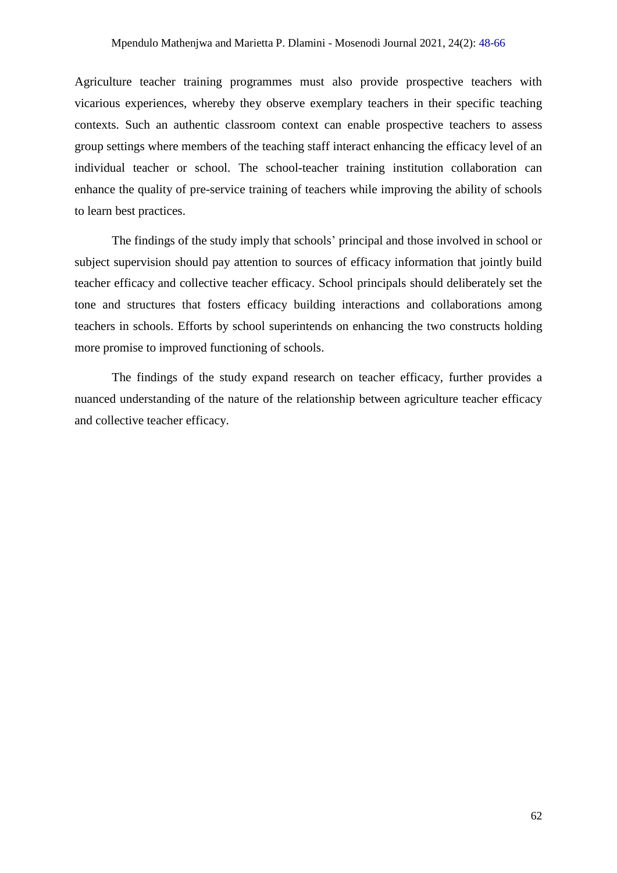Agriculture teacher training programmes must also provide prospective teachers with vicarious experiences, whereby they observe exemplary teachers in their specific teaching contexts. Such an authentic classroom context can enable prospective teachers to assess group settings where members of the teaching staff interact enhancing the efficacy level of an individual teacher or school. The school-teacher training institution collaboration can enhance the quality of pre-service training of teachers while improving the ability of schools to learn best practices.

The findings of the study imply that schools' principal and those involved in school or subject supervision should pay attention to sources of efficacy information that jointly build teacher efficacy and collective teacher efficacy. School principals should deliberately set the tone and structures that fosters efficacy building interactions and collaborations among teachers in schools. Efforts by school superintends on enhancing the two constructs holding more promise to improved functioning of schools.

The findings of the study expand research on teacher efficacy, further provides a nuanced understanding of the nature of the relationship between agriculture teacher efficacy and collective teacher efficacy.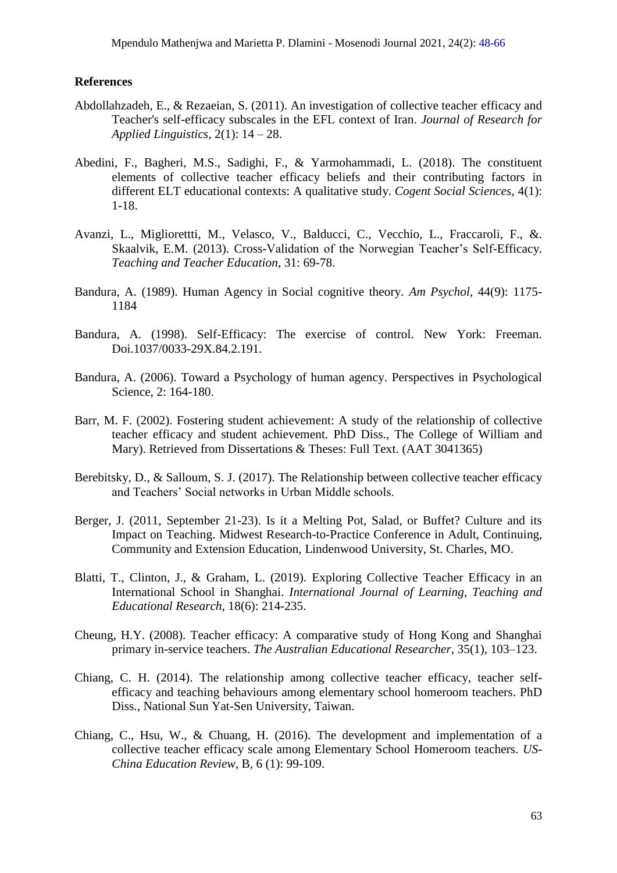#### **References**

- Abdollahzadeh, E., & Rezaeian, S. (2011). An investigation of collective teacher efficacy and Teacher's self-efficacy subscales in the EFL context of Iran. *Journal of Research for Applied Linguistics,* 2(1): 14 – 28.
- Abedini, F., Bagheri, M.S., Sadighi, F., & Yarmohammadi, L. (2018). The constituent elements of collective teacher efficacy beliefs and their contributing factors in different ELT educational contexts: A qualitative study. *Cogent Social Sciences*, 4(1): 1-18.
- Avanzi, L., Migliorettti, M., Velasco, V., Balducci, C., Vecchio, L., Fraccaroli, F., &. Skaalvik, E.M. (2013). Cross-Validation of the Norwegian Teacher's Self-Efficacy. *Teaching and Teacher Education*, 31: 69-78.
- Bandura, A. (1989). Human Agency in Social cognitive theory. *Am Psychol*, 44(9): 1175- 1184
- Bandura, A. (1998). Self-Efficacy: The exercise of control. New York: Freeman. Doi.1037/0033-29X.84.2.191.
- Bandura, A. (2006). Toward a Psychology of human agency. Perspectives in Psychological Science, 2: 164-180.
- Barr, M. F. (2002). Fostering student achievement: A study of the relationship of collective teacher efficacy and student achievement. PhD Diss., The College of William and Mary). Retrieved from Dissertations & Theses: Full Text. (AAT 3041365)
- Berebitsky, D., & Salloum, S. J. (2017). The Relationship between collective teacher efficacy and Teachers' Social networks in Urban Middle schools.
- Berger, J. (2011, September 21-23). Is it a Melting Pot, Salad, or Buffet? Culture and its Impact on Teaching. Midwest Research-to-Practice Conference in Adult, Continuing, Community and Extension Education, Lindenwood University, St. Charles, MO.
- Blatti, T., Clinton, J., & Graham, L. (2019). Exploring Collective Teacher Efficacy in an International School in Shanghai. *International Journal of Learning, Teaching and Educational Research*, 18(6): 214-235.
- Cheung, H.Y. (2008). Teacher efficacy: A comparative study of Hong Kong and Shanghai primary in-service teachers. *The Australian Educational Researcher*, 35(1), 103–123.
- Chiang, C. H. (2014). The relationship among collective teacher efficacy, teacher selfefficacy and teaching behaviours among elementary school homeroom teachers. PhD Diss., National Sun Yat-Sen University, Taiwan.
- Chiang, C., Hsu, W., & Chuang, H. (2016). The development and implementation of a collective teacher efficacy scale among Elementary School Homeroom teachers. *US-China Education Review*, B*,* 6 (1): 99-109.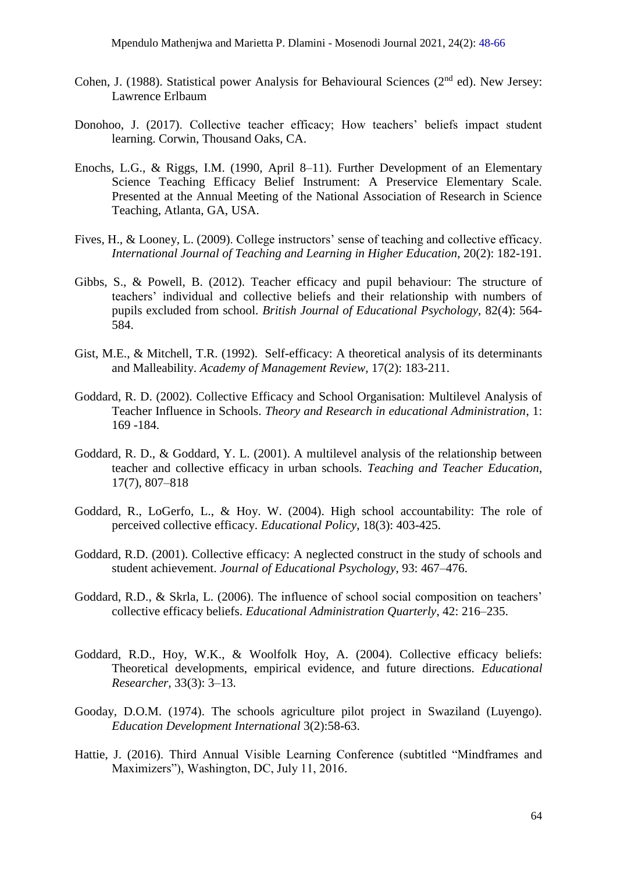- Cohen, J. (1988). Statistical power Analysis for Behavioural Sciences ( $2<sup>nd</sup>$  ed). New Jersey: Lawrence Erlbaum
- Donohoo, J. (2017). Collective teacher efficacy; How teachers' beliefs impact student learning. Corwin, Thousand Oaks, CA.
- Enochs, L.G., & Riggs, I.M. (1990, April 8–11). Further Development of an Elementary Science Teaching Efficacy Belief Instrument: A Preservice Elementary Scale. Presented at the Annual Meeting of the National Association of Research in Science Teaching, Atlanta, GA, USA.
- Fives, H., & Looney, L. (2009). College instructors' sense of teaching and collective efficacy. *International Journal of Teaching and Learning in Higher Education*, 20(2): 182-191.
- Gibbs, S., & Powell, B. (2012). Teacher efficacy and pupil behaviour: The structure of teachers' individual and collective beliefs and their relationship with numbers of pupils excluded from school. *British Journal of Educational Psychology,* 82(4): 564- 584.
- Gist, M.E., & Mitchell, T.R. (1992). Self-efficacy: A theoretical analysis of its determinants and Malleability. *Academy of Management Review*, 17(2): 183-211.
- Goddard, R. D. (2002). Collective Efficacy and School Organisation: Multilevel Analysis of Teacher Influence in Schools. *Theory and Research in educational Administration*, 1: 169 -184.
- Goddard, R. D., & Goddard, Y. L. (2001). A multilevel analysis of the relationship between teacher and collective efficacy in urban schools. *Teaching and Teacher Education*, 17(7), 807–818
- Goddard, R., LoGerfo, L., & Hoy. W. (2004). High school accountability: The role of perceived collective efficacy. *Educational Policy*, 18(3): 403-425.
- Goddard, R.D. (2001). Collective efficacy: A neglected construct in the study of schools and student achievement. *Journal of Educational Psychology*, 93: 467–476.
- Goddard, R.D., & Skrla, L. (2006). The influence of school social composition on teachers' collective efficacy beliefs. *Educational Administration Quarterly*, 42: 216–235.
- Goddard, R.D., Hoy, W.K., & Woolfolk Hoy, A. (2004). Collective efficacy beliefs: Theoretical developments, empirical evidence, and future directions. *Educational Researcher,* 33(3): 3–13.
- Gooday, D.O.M. (1974). The schools agriculture pilot project in Swaziland (Luyengo). *Education Development International* 3(2):58-63.
- Hattie, J. (2016). Third Annual Visible Learning Conference (subtitled "Mindframes and Maximizers"), Washington, DC, July 11, 2016.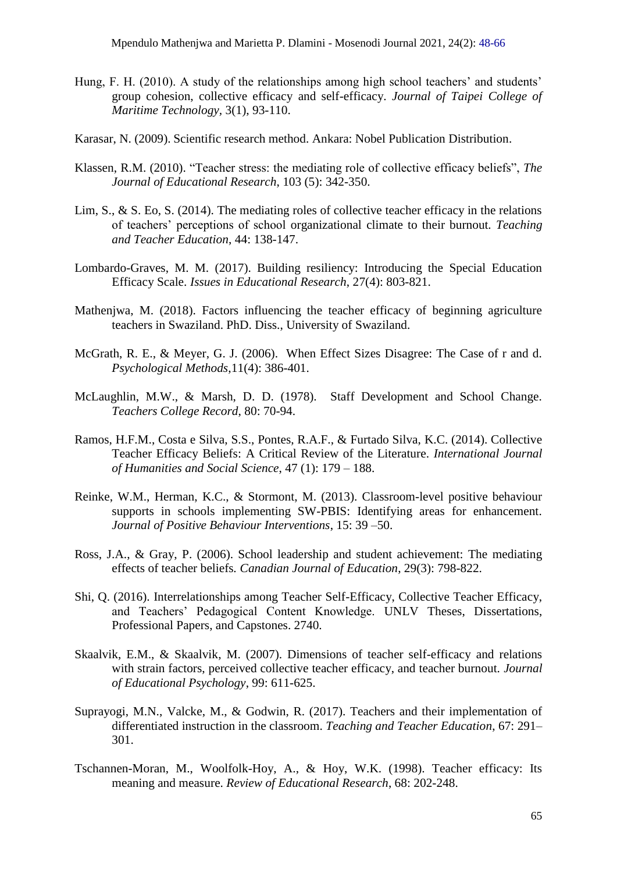- Hung, F. H. (2010). A study of the relationships among high school teachers' and students' group cohesion, collective efficacy and self-efficacy. *Journal of Taipei College of Maritime Technology,* 3(1), 93-110.
- Karasar, N. (2009). Scientific research method. Ankara: Nobel Publication Distribution.
- Klassen, R.M. (2010). "Teacher stress: the mediating role of collective efficacy beliefs", *The Journal of Educational Research*, 103 (5): 342-350.
- Lim, S., & S. Eo, S. (2014). The mediating roles of collective teacher efficacy in the relations of teachers' perceptions of school organizational climate to their burnout. *Teaching and Teacher Education*, 44: 138-147.
- Lombardo-Graves, M. M. (2017). Building resiliency: Introducing the Special Education Efficacy Scale. *Issues in Educational Research*, 27(4): 803-821.
- Mathenjwa, M. (2018). Factors influencing the teacher efficacy of beginning agriculture teachers in Swaziland. PhD. Diss., University of Swaziland.
- McGrath, R. E., & Meyer, G. J. (2006). When Effect Sizes Disagree: The Case of r and d. *Psychological Methods*,11(4): 386-401.
- McLaughlin, M.W., & Marsh, D. D. (1978). Staff Development and School Change. *Teachers College Record*, 80: 70-94.
- Ramos, H.F.M., Costa e Silva, S.S., Pontes, R.A.F., & Furtado Silva, K.C. (2014). Collective Teacher Efficacy Beliefs: A Critical Review of the Literature. *International Journal of Humanities and Social Science*, 47 (1): 179 – 188.
- Reinke, W.M., Herman, K.C., & Stormont, M. (2013). Classroom-level positive behaviour supports in schools implementing SW-PBIS: Identifying areas for enhancement. *Journal of Positive Behaviour Interventions*, 15: 39 –50.
- Ross, J.A., & Gray, P. (2006). School leadership and student achievement: The mediating effects of teacher beliefs*. Canadian Journal of Education*, 29(3): 798-822.
- Shi, Q. (2016). Interrelationships among Teacher Self-Efficacy, Collective Teacher Efficacy, and Teachers' Pedagogical Content Knowledge. UNLV Theses, Dissertations, Professional Papers, and Capstones. 2740.
- Skaalvik, E.M., & Skaalvik, M. (2007). Dimensions of teacher self-efficacy and relations with strain factors, perceived collective teacher efficacy, and teacher burnout. *Journal of Educational Psychology*, 99: 611-625.
- Suprayogi, M.N., Valcke, M., & Godwin, R. (2017). Teachers and their implementation of differentiated instruction in the classroom. *Teaching and Teacher Education*, 67: 291– 301.
- Tschannen-Moran, M., Woolfolk-Hoy, A., & Hoy, W.K. (1998). Teacher efficacy: Its meaning and measure. *Review of Educational Research*, 68: 202-248.